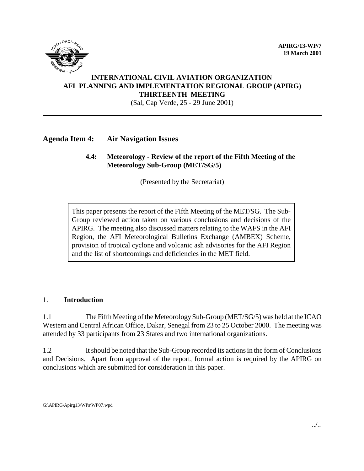**APIRG/13-WP/7 19 March 2001**



## **INTERNATIONAL CIVIL AVIATION ORGANIZATION AFI PLANNING AND IMPLEMENTATION REGIONAL GROUP (APIRG) THIRTEENTH MEETING**

(Sal, Cap Verde, 25 - 29 June 2001)

## **Agenda Item 4: Air Navigation Issues**

## **4.4: Meteorology - Review of the report of the Fifth Meeting of the Meteorology Sub-Group (MET/SG/5)**

(Presented by the Secretariat)

This paper presents the report of the Fifth Meeting of the MET/SG. The Sub-Group reviewed action taken on various conclusions and decisions of the APIRG. The meeting also discussed matters relating to the WAFS in the AFI Region, the AFI Meteorological Bulletins Exchange (AMBEX) Scheme, provision of tropical cyclone and volcanic ash advisories for the AFI Region and the list of shortcomings and deficiencies in the MET field.

#### 1. **Introduction**

1.1 The Fifth Meeting of the Meteorology Sub-Group (MET/SG/5) was held at the ICAO Western and Central African Office, Dakar, Senegal from 23 to 25 October 2000. The meeting was attended by 33 participants from 23 States and two international organizations.

1.2 It should be noted that the Sub-Group recorded its actions in the form of Conclusions and Decisions. Apart from approval of the report, formal action is required by the APIRG on conclusions which are submitted for consideration in this paper.

G:\APIRG\Apirg13\WPs\WP07.wpd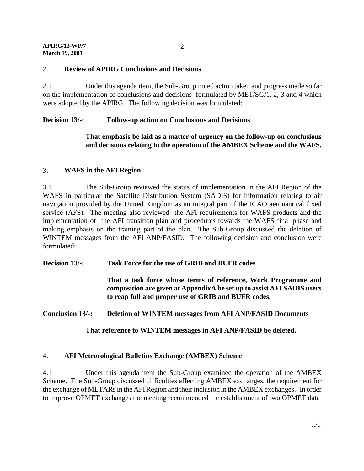#### **APIRG/13-WP/7 March 19, 2001**

# 2. **Review of APIRG Conclusions and Decisions**

2.1 Under this agenda item, the Sub-Group noted action taken and progress made so far on the implementation of conclusions and decisions formulated by MET/SG/1, 2, 3 and 4 which were adopted by the APIRG. The following decision was formulated:

# **Decision 13/-: Follow-up action on Conclusions and Decisions**

# **That emphasis be laid as a matter of urgency on the follow-up on conclusions and decisions relating to the operation of the AMBEX Scheme and the WAFS.**

# 3. **WAFS in the AFI Region**

3.1 The Sub-Group reviewed the status of implementation in the AFI Region of the WAFS in particular the Satellite Distribution System (SADIS) for information relating to air navigation provided by the United Kingdom as an integral part of the ICAO aeronautical fixed service (AFS). The meeting also reviewed the AFI requirements for WAFS products and the implementation of the AFI transition plan and procedures towards the WAFS final phase and making emphasis on the training part of the plan. The Sub-Group discussed the deletion of WINTEM messages from the AFI ANP/FASID. The following decision and conclusion were formulated:

**Decision 13/-: Task Force for the use of GRIB and BUFR codes**

**That a task force whose terms of reference, Work Programme and composition are given at AppendixA be set up to assist AFI SADIS users to reap full and proper use of GRIB and BUFR codes.**

## **Conclusion 13/-: Deletion of WINTEM messages from AFI ANP/FASID Documents**

**That reference to WINTEM messages in AFI ANP/FASID be deleted.**

## 4. **AFI Meteorological Bulletins Exchange (AMBEX) Scheme**

4.1 Under this agenda item the Sub-Group examined the operation of the AMBEX Scheme. The Sub-Group discussed difficulties affecting AMBEX exchanges, the requirement for the exchange of METARs in the AFI Region and their inclusion in the AMBEX exchanges. In order to improve OPMET exchanges the meeting recommended the establishment of two OPMET data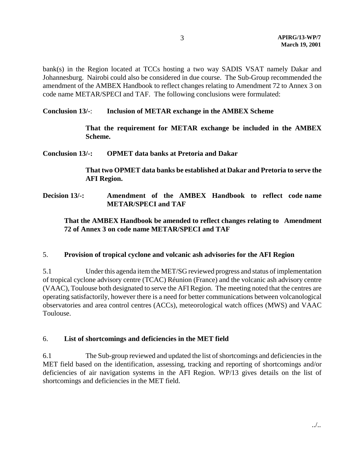bank(s) in the Region located at TCCs hosting a two way SADIS VSAT namely Dakar and Johannesburg. Nairobi could also be considered in due course. The Sub-Group recommended the amendment of the AMBEX Handbook to reflect changes relating to Amendment 72 to Annex 3 on code name METAR/SPECI and TAF. The following conclusions were formulated:

## **Conclusion 13/-**: **Inclusion of METAR exchange in the AMBEX Scheme**

**That the requirement for METAR exchange be included in the AMBEX Scheme.**

### **Conclusion 13/-: OPMET data banks at Pretoria and Dakar**

**That two OPMET data banks be established at Dakar and Pretoria to serve the AFI Region.**

**Decision 13/-: Amendment of the AMBEX Handbook to reflect code name METAR/SPECI and TAF**

## **That the AMBEX Handbook be amended to reflect changes relating to Amendment 72 of Annex 3 on code name METAR/SPECI and TAF**

### 5. **Provision of tropical cyclone and volcanic ash advisories for the AFI Region**

5.1 Under this agenda item the MET/SG reviewed progress and status of implementation of tropical cyclone advisory centre (TCAC) Réunion (France) and the volcanic ash advisory centre (VAAC), Toulouse both designated to serve the AFI Region. The meeting noted that the centres are operating satisfactorily, however there is a need for better communications between volcanological observatories and area control centres (ACCs), meteorological watch offices (MWS) and VAAC Toulouse.

### 6. **List of shortcomings and deficiencies in the MET field**

6.1 The Sub-group reviewed and updated the list of shortcomings and deficiencies in the MET field based on the identification, assessing, tracking and reporting of shortcomings and/or deficiencies of air navigation systems in the AFI Region. WP/13 gives details on the list of shortcomings and deficiencies in the MET field.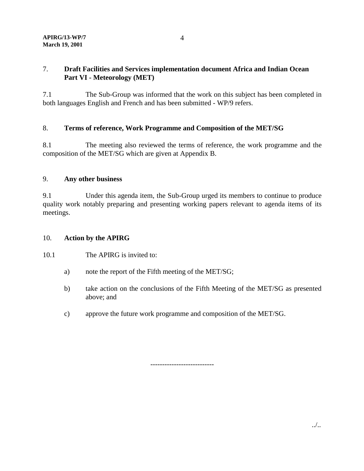## 7. **Draft Facilities and Services implementation document Africa and Indian Ocean Part VI - Meteorology (MET)**

7.1 The Sub-Group was informed that the work on this subject has been completed in both languages English and French and has been submitted - WP/9 refers.

## 8. **Terms of reference, Work Programme and Composition of the MET/SG**

8.1 The meeting also reviewed the terms of reference, the work programme and the composition of the MET/SG which are given at Appendix B.

## 9. **Any other business**

9.1 Under this agenda item, the Sub-Group urged its members to continue to produce quality work notably preparing and presenting working papers relevant to agenda items of its meetings.

## 10. **Action by the APIRG**

10.1 The APIRG is invited to:

- a) note the report of the Fifth meeting of the MET/SG;
- b) take action on the conclusions of the Fifth Meeting of the MET/SG as presented above; and
- c) approve the future work programme and composition of the MET/SG.

---------------------------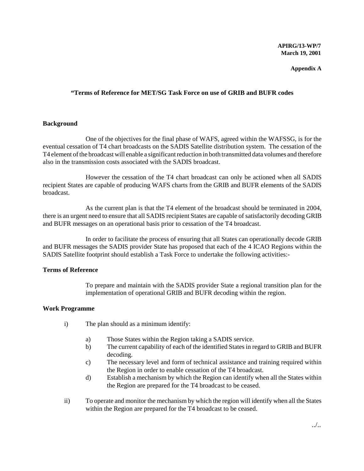#### **APIRG/13-WP/7 March 19, 2001**

#### **Appendix A**

#### **"Terms of Reference for MET/SG Task Force on use of GRIB and BUFR codes**

#### **Background**

One of the objectives for the final phase of WAFS, agreed within the WAFSSG, is for the eventual cessation of T4 chart broadcasts on the SADIS Satellite distribution system. The cessation of the T4 element of the broadcast will enable a significant reduction in both transmitted data volumes and therefore also in the transmission costs associated with the SADIS broadcast.

However the cessation of the T4 chart broadcast can only be actioned when all SADIS recipient States are capable of producing WAFS charts from the GRIB and BUFR elements of the SADIS broadcast.

As the current plan is that the T4 element of the broadcast should be terminated in 2004, there is an urgent need to ensure that all SADIS recipient States are capable of satisfactorily decoding GRIB and BUFR messages on an operational basis prior to cessation of the T4 broadcast.

In order to facilitate the process of ensuring that all States can operationally decode GRIB and BUFR messages the SADIS provider State has proposed that each of the 4 ICAO Regions within the SADIS Satellite footprint should establish a Task Force to undertake the following activities:-

#### **Terms of Reference**

To prepare and maintain with the SADIS provider State a regional transition plan for the implementation of operational GRIB and BUFR decoding within the region.

#### **Work Programme**

- i) The plan should as a minimum identify:
	- a) Those States within the Region taking a SADIS service.
	- b) The current capability of each of the identified States in regard to GRIB and BUFR decoding.
	- c) The necessary level and form of technical assistance and training required within the Region in order to enable cessation of the T4 broadcast.
	- d) Establish a mechanism by which the Region can identify when all the States within the Region are prepared for the T4 broadcast to be ceased.
- ii) To operate and monitor the mechanism by which the region will identify when all the States within the Region are prepared for the T4 broadcast to be ceased.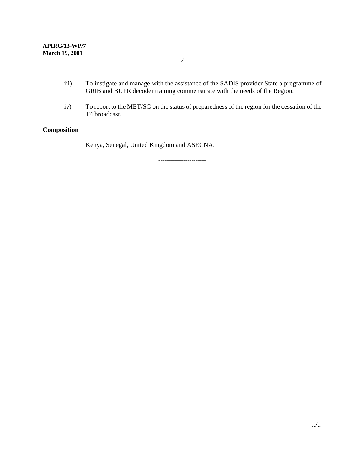- iii) To instigate and manage with the assistance of the SADIS provider State a programme of GRIB and BUFR decoder training commensurate with the needs of the Region.
- iv) To report to the MET/SG on the status of preparedness of the region for the cessation of the T4 broadcast.

## **Composition**

Kenya, Senegal, United Kingdom and ASECNA.

-----------------------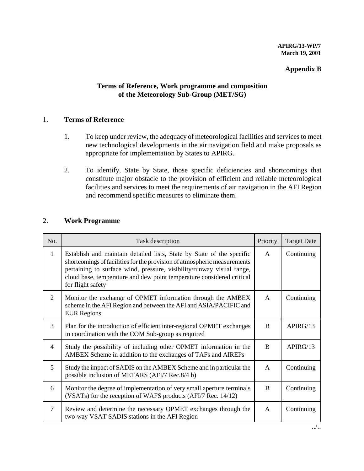## **Appendix B**

# **Terms of Reference, Work programme and composition of the Meteorology Sub-Group (MET/SG)**

## 1. **Terms of Reference**

- 1. To keep under review, the adequacy of meteorological facilities and services to meet new technological developments in the air navigation field and make proposals as appropriate for implementation by States to APIRG.
- 2. To identify, State by State, those specific deficiencies and shortcomings that constitute major obstacle to the provision of efficient and reliable meteorological facilities and services to meet the requirements of air navigation in the AFI Region and recommend specific measures to eliminate them.

## 2. **Work Programme**

| No.            | Task description                                                                                                                                                                                                                                                                                                         | Priority     | <b>Target Date</b> |
|----------------|--------------------------------------------------------------------------------------------------------------------------------------------------------------------------------------------------------------------------------------------------------------------------------------------------------------------------|--------------|--------------------|
| 1              | Establish and maintain detailed lists, State by State of the specific<br>shortcomings of facilities for the provision of atmospheric measurements<br>pertaining to surface wind, pressure, visibility/runway visual range,<br>cloud base, temperature and dew point temperature considered critical<br>for flight safety | A            | Continuing         |
| 2              | Monitor the exchange of OPMET information through the AMBEX<br>scheme in the AFI Region and between the AFI and ASIA/PACIFIC and<br><b>EUR Regions</b>                                                                                                                                                                   | $\mathsf{A}$ | Continuing         |
| 3              | Plan for the introduction of efficient inter-regional OPMET exchanges<br>in coordination with the COM Sub-group as required                                                                                                                                                                                              | B            | APIRG/13           |
| $\overline{4}$ | Study the possibility of including other OPMET information in the<br>AMBEX Scheme in addition to the exchanges of TAFs and AIREPs                                                                                                                                                                                        | B            | APIRG/13           |
| 5              | Study the impact of SADIS on the AMBEX Scheme and in particular the<br>possible inclusion of METARS (AFI/7 Rec.8/4 b)                                                                                                                                                                                                    | $\mathsf{A}$ | Continuing         |
| 6              | Monitor the degree of implementation of very small aperture terminals<br>(VSATs) for the reception of WAFS products (AFI/7 Rec. 14/12)                                                                                                                                                                                   | B            | Continuing         |
| $\overline{7}$ | Review and determine the necessary OPMET exchanges through the<br>two-way VSAT SADIS stations in the AFI Region                                                                                                                                                                                                          | A            | Continuing         |